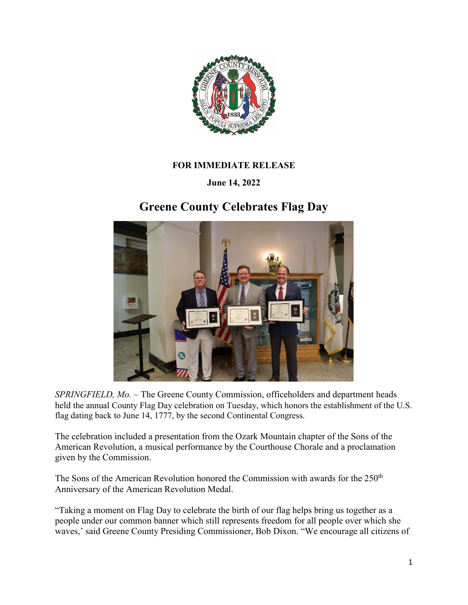

## **FOR IMMEDIATE RELEASE**

## **June 14, 2022**

## **Greene County Celebrates Flag Day**



*SPRINGFIELD, Mo.* – The Greene County Commission, officeholders and department heads held the annual County Flag Day celebration on Tuesday, which honors the establishment of the U.S. flag dating back to June 14, 1777, by the second Continental Congress.

The celebration included a presentation from the Ozark Mountain chapter of the Sons of the American Revolution, a musical performance by the Courthouse Chorale and a proclamation given by the Commission.

The Sons of the American Revolution honored the Commission with awards for the 250<sup>th</sup> Anniversary of the American Revolution Medal.

"Taking a moment on Flag Day to celebrate the birth of our flag helps bring us together as a people under our common banner which still represents freedom for all people over which she waves,' said Greene County Presiding Commissioner, Bob Dixon. "We encourage all citizens of